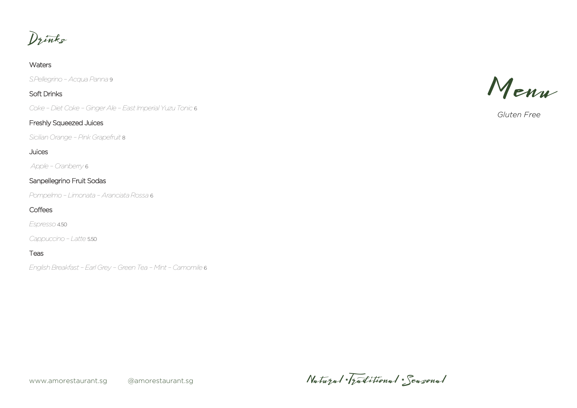Drinks

#### **Waters**

*S.Pellegrino – Acqua Panna* 9

## Soft Drinks

*Coke – Diet Coke – Ginger Ale – East Imperial Yuzu Tonic* 6

### Freshly Squeezed Juices

*Sicilian Orange – Pink Grapefruit* 8

### Juices

*Apple – Cranberry* 6

# Sanpellegrino Fruit Sodas

*Pompelmo – Limonata – Aranciata Rossa* 6

# **Coffees**

*Espresso* 4.50

*Cappuccino – Latte* 5.50

#### Teas

*English Breakfast –Earl Grey – Green Tea – Mint – Camomile* 6

Menu

*Gluten Free*

www.amorestaurant.sg @amorestaurant.sg

Natural \* Traditional \* Seasonal